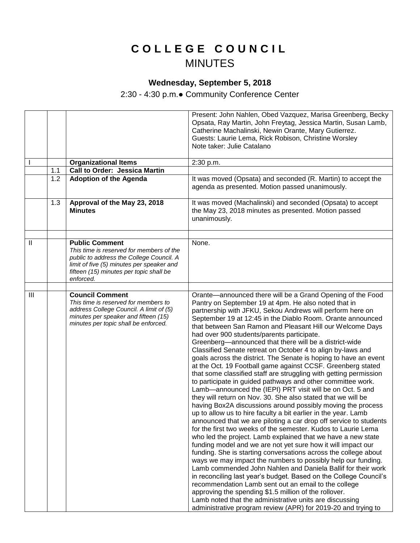## **C O L L E G E C O U N C I L** MINUTES

## **Wednesday, September 5, 2018**

2:30 - 4:30 p.m.● Community Conference Center

|               |     |                                                                                                                                                                                                                    | Present: John Nahlen, Obed Vazquez, Marisa Greenberg, Becky<br>Opsata, Ray Martin, John Freytag, Jessica Martin, Susan Lamb,<br>Catherine Machalinski, Newin Orante, Mary Gutierrez.<br>Guests: Laurie Lema, Rick Robison, Christine Worsley<br>Note taker: Julie Catalano                                                                                                                                                                                                                                                                                                                                                                                                                                                                                                                                                                                                                                                                                                                                                                                                                                                                                                                                                                                                                                                                                                                                                                                                                                                                                                                                                                                                                                                                                                                                        |
|---------------|-----|--------------------------------------------------------------------------------------------------------------------------------------------------------------------------------------------------------------------|-------------------------------------------------------------------------------------------------------------------------------------------------------------------------------------------------------------------------------------------------------------------------------------------------------------------------------------------------------------------------------------------------------------------------------------------------------------------------------------------------------------------------------------------------------------------------------------------------------------------------------------------------------------------------------------------------------------------------------------------------------------------------------------------------------------------------------------------------------------------------------------------------------------------------------------------------------------------------------------------------------------------------------------------------------------------------------------------------------------------------------------------------------------------------------------------------------------------------------------------------------------------------------------------------------------------------------------------------------------------------------------------------------------------------------------------------------------------------------------------------------------------------------------------------------------------------------------------------------------------------------------------------------------------------------------------------------------------------------------------------------------------------------------------------------------------|
|               |     | <b>Organizational Items</b>                                                                                                                                                                                        | 2:30 p.m.                                                                                                                                                                                                                                                                                                                                                                                                                                                                                                                                                                                                                                                                                                                                                                                                                                                                                                                                                                                                                                                                                                                                                                                                                                                                                                                                                                                                                                                                                                                                                                                                                                                                                                                                                                                                         |
|               | 1.1 | <b>Call to Order: Jessica Martin</b>                                                                                                                                                                               |                                                                                                                                                                                                                                                                                                                                                                                                                                                                                                                                                                                                                                                                                                                                                                                                                                                                                                                                                                                                                                                                                                                                                                                                                                                                                                                                                                                                                                                                                                                                                                                                                                                                                                                                                                                                                   |
|               | 1.2 | <b>Adoption of the Agenda</b>                                                                                                                                                                                      | It was moved (Opsata) and seconded (R. Martin) to accept the<br>agenda as presented. Motion passed unanimously.                                                                                                                                                                                                                                                                                                                                                                                                                                                                                                                                                                                                                                                                                                                                                                                                                                                                                                                                                                                                                                                                                                                                                                                                                                                                                                                                                                                                                                                                                                                                                                                                                                                                                                   |
|               | 1.3 | Approval of the May 23, 2018<br><b>Minutes</b>                                                                                                                                                                     | It was moved (Machalinski) and seconded (Opsata) to accept<br>the May 23, 2018 minutes as presented. Motion passed<br>unanimously.                                                                                                                                                                                                                                                                                                                                                                                                                                                                                                                                                                                                                                                                                                                                                                                                                                                                                                                                                                                                                                                                                                                                                                                                                                                                                                                                                                                                                                                                                                                                                                                                                                                                                |
|               |     |                                                                                                                                                                                                                    |                                                                                                                                                                                                                                                                                                                                                                                                                                                                                                                                                                                                                                                                                                                                                                                                                                                                                                                                                                                                                                                                                                                                                                                                                                                                                                                                                                                                                                                                                                                                                                                                                                                                                                                                                                                                                   |
| $\mathbf{II}$ |     | <b>Public Comment</b><br>This time is reserved for members of the<br>public to address the College Council. A<br>limit of five (5) minutes per speaker and<br>fifteen (15) minutes per topic shall be<br>enforced. | None.                                                                                                                                                                                                                                                                                                                                                                                                                                                                                                                                                                                                                                                                                                                                                                                                                                                                                                                                                                                                                                                                                                                                                                                                                                                                                                                                                                                                                                                                                                                                                                                                                                                                                                                                                                                                             |
|               |     |                                                                                                                                                                                                                    |                                                                                                                                                                                                                                                                                                                                                                                                                                                                                                                                                                                                                                                                                                                                                                                                                                                                                                                                                                                                                                                                                                                                                                                                                                                                                                                                                                                                                                                                                                                                                                                                                                                                                                                                                                                                                   |
| Ш             |     | <b>Council Comment</b><br>This time is reserved for members to<br>address College Council. A limit of (5)<br>minutes per speaker and fifteen (15)<br>minutes per topic shall be enforced.                          | Orante-announced there will be a Grand Opening of the Food<br>Pantry on September 19 at 4pm. He also noted that in<br>partnership with JFKU, Sekou Andrews will perform here on<br>September 19 at 12:45 in the Diablo Room. Orante announced<br>that between San Ramon and Pleasant Hill our Welcome Days<br>had over 900 students/parents participate.<br>Greenberg-announced that there will be a district-wide<br>Classified Senate retreat on October 4 to align by-laws and<br>goals across the district. The Senate is hoping to have an event<br>at the Oct. 19 Football game against CCSF. Greenberg stated<br>that some classified staff are struggling with getting permission<br>to participate in guided pathways and other committee work.<br>Lamb-announced the (IEPI) PRT visit will be on Oct. 5 and<br>they will return on Nov. 30. She also stated that we will be<br>having Box2A discussions around possibly moving the process<br>up to allow us to hire faculty a bit earlier in the year. Lamb<br>announced that we are piloting a car drop off service to students<br>for the first two weeks of the semester. Kudos to Laurie Lema<br>who led the project. Lamb explained that we have a new state<br>funding model and we are not yet sure how it will impact our<br>funding. She is starting conversations across the college about<br>ways we may impact the numbers to possibly help our funding.<br>Lamb commended John Nahlen and Daniela Ballif for their work<br>in reconciling last year's budget. Based on the College Council's<br>recommendation Lamb sent out an email to the college<br>approving the spending \$1.5 million of the rollover.<br>Lamb noted that the administrative units are discussing<br>administrative program review (APR) for 2019-20 and trying to |